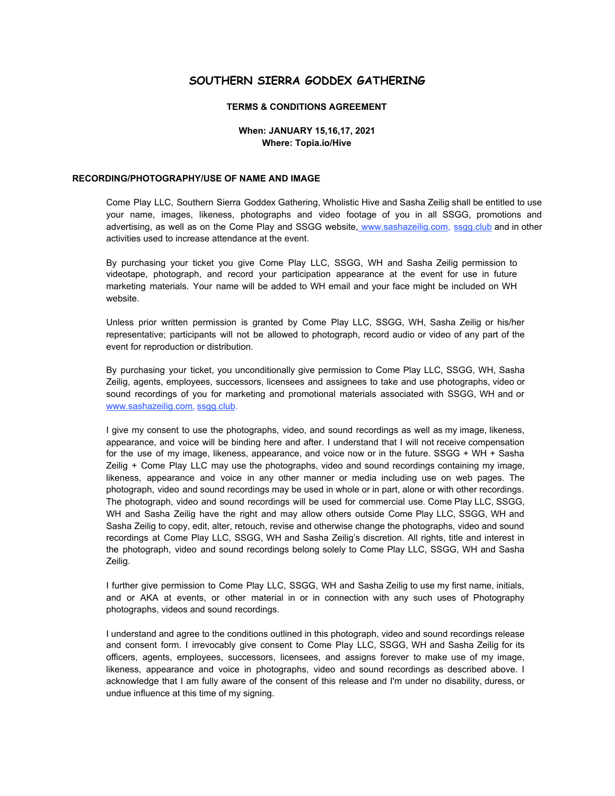# **SOUTHERN SIERRA GODDEX GATHERING**

## **TERMS & CONDITIONS AGREEMENT**

#### **When: JANUARY 15,16,17, 2021 Where: Topia.io/Hive**

#### **RECORDING/PHOTOGRAPHY/USE OF NAME AND IMAGE**

Come Play LLC, Southern Sierra Goddex Gathering, Wholistic Hive and Sasha Zeilig shall be entitled to use your name, images, likeness, photographs and video footage of you in all SSGG, promotions and advertising, as well as on the Come Play and SSGG website, [www.sashazeilig.com](http://www.sashazeilig.com/)[,](http://www.ssgg.club/) [ssgg.club](http://www.ssgg.club/) and in other activities used to increase attendance at the event.

By purchasing your ticket you give Come Play LLC, SSGG, WH and Sasha Zeilig permission to videotape, photograph, and record your participation appearance at the event for use in future marketing materials. Your name will be added to WH email and your face might be included on WH website.

Unless prior written permission is granted by Come Play LLC, SSGG, WH, Sasha Zeilig or his/her representative; participants will not be allowed to photograph, record audio or video of any part of the event for reproduction or distribution.

By purchasing your ticket, you unconditionally give permission to Come Play LLC, SSGG, WH, Sasha Zeilig, agents, employees, successors, licensees and assignees to take and use photographs, video or sound recordings of you for marketing and promotional materials associated with SSGG, WH and o[r](http://www.sashazeilig.com/) [www.sashazeilig.com](http://www.sashazeilig.com/)[,](http://www.ssgg.club/) [ssgg.club](http://www.ssgg.club/).

I give my consent to use the photographs, video, and sound recordings as well as my image, likeness, appearance, and voice will be binding here and after. I understand that I will not receive compensation for the use of my image, likeness, appearance, and voice now or in the future. SSGG + WH + Sasha Zeilig + Come Play LLC may use the photographs, video and sound recordings containing my image, likeness, appearance and voice in any other manner or media including use on web pages. The photograph, video and sound recordings may be used in whole or in part, alone or with other recordings. The photograph, video and sound recordings will be used for commercial use. Come Play LLC, SSGG, WH and Sasha Zeilig have the right and may allow others outside Come Play LLC, SSGG, WH and Sasha Zeilig to copy, edit, alter, retouch, revise and otherwise change the photographs, video and sound recordings at Come Play LLC, SSGG, WH and Sasha Zeilig's discretion. All rights, title and interest in the photograph, video and sound recordings belong solely to Come Play LLC, SSGG, WH and Sasha Zeilig.

I further give permission to Come Play LLC, SSGG, WH and Sasha Zeilig to use my first name, initials, and or AKA at events, or other material in or in connection with any such uses of Photography photographs, videos and sound recordings.

I understand and agree to the conditions outlined in this photograph, video and sound recordings release and consent form. I irrevocably give consent to Come Play LLC, SSGG, WH and Sasha Zeilig for its officers, agents, employees, successors, licensees, and assigns forever to make use of my image, likeness, appearance and voice in photographs, video and sound recordings as described above. I acknowledge that I am fully aware of the consent of this release and I'm under no disability, duress, or undue influence at this time of my signing.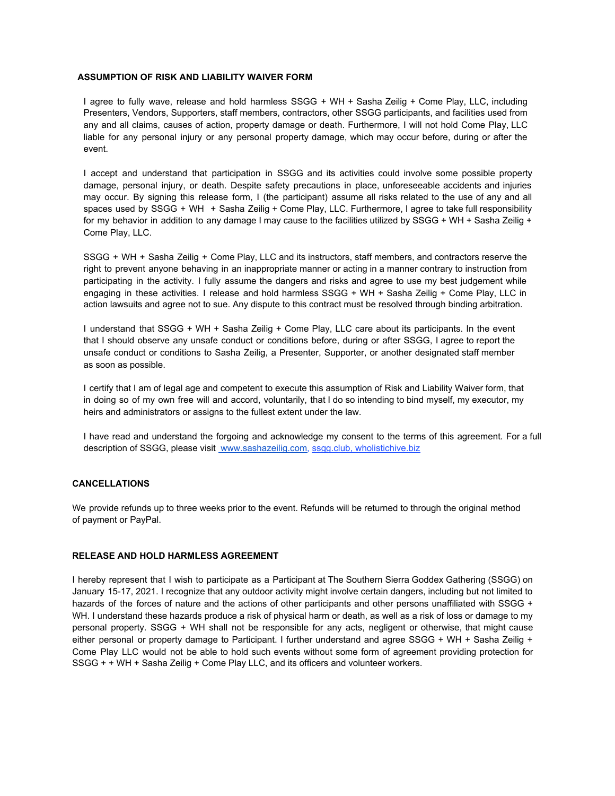### **ASSUMPTION OF RISK AND LIABILITY WAIVER FORM**

I agree to fully wave, release and hold harmless SSGG + WH + Sasha Zeilig + Come Play, LLC, including Presenters, Vendors, Supporters, staff members, contractors, other SSGG participants, and facilities used from any and all claims, causes of action, property damage or death. Furthermore, I will not hold Come Play, LLC liable for any personal injury or any personal property damage, which may occur before, during or after the event.

I accept and understand that participation in SSGG and its activities could involve some possible property damage, personal injury, or death. Despite safety precautions in place, unforeseeable accidents and injuries may occur. By signing this release form, I (the participant) assume all risks related to the use of any and all spaces used by SSGG + WH + Sasha Zeilig + Come Play, LLC. Furthermore, I agree to take full responsibility for my behavior in addition to any damage I may cause to the facilities utilized by SSGG + WH + Sasha Zeilig + Come Play, LLC.

SSGG + WH + Sasha Zeilig + Come Play, LLC and its instructors, staff members, and contractors reserve the right to prevent anyone behaving in an inappropriate manner or acting in a manner contrary to instruction from participating in the activity. I fully assume the dangers and risks and agree to use my best judgement while engaging in these activities. I release and hold harmless SSGG + WH + Sasha Zeilig + Come Play, LLC in action lawsuits and agree not to sue. Any dispute to this contract must be resolved through binding arbitration.

I understand that SSGG + WH + Sasha Zeilig + Come Play, LLC care about its participants. In the event that I should observe any unsafe conduct or conditions before, during or after SSGG, I agree to report the unsafe conduct or conditions to Sasha Zeilig, a Presenter, Supporter, or another designated staff member as soon as possible.

I certify that I am of legal age and competent to execute this assumption of Risk and Liability Waiver form, that in doing so of my own free will and accord, voluntarily, that I do so intending to bind myself, my executor, my heirs and administrators or assigns to the fullest extent under the law.

I have read and understand the forgoing and acknowledge my consent to the terms of this agreement. For a full description of SSGG, please visit www.sashazeilig.com[,](http://www.ssgg.club/) [ssgg.club,](http://www.ssgg.club/) wholistichive.biz

## **CANCELLATIONS**

We provide refunds up to three weeks prior to the event. Refunds will be returned to through the original method of payment or PayPal.

### **RELEASE AND HOLD HARMLESS AGREEMENT**

I hereby represent that I wish to participate as a Participant at The Southern Sierra Goddex Gathering (SSGG) on January 15-17, 2021. I recognize that any outdoor activity might involve certain dangers, including but not limited to hazards of the forces of nature and the actions of other participants and other persons unaffiliated with SSGG + WH. I understand these hazards produce a risk of physical harm or death, as well as a risk of loss or damage to my personal property. SSGG + WH shall not be responsible for any acts, negligent or otherwise, that might cause either personal or property damage to Participant. I further understand and agree SSGG + WH + Sasha Zeilig + Come Play LLC would not be able to hold such events without some form of agreement providing protection for SSGG + + WH + Sasha Zeilig + Come Play LLC, and its officers and volunteer workers.